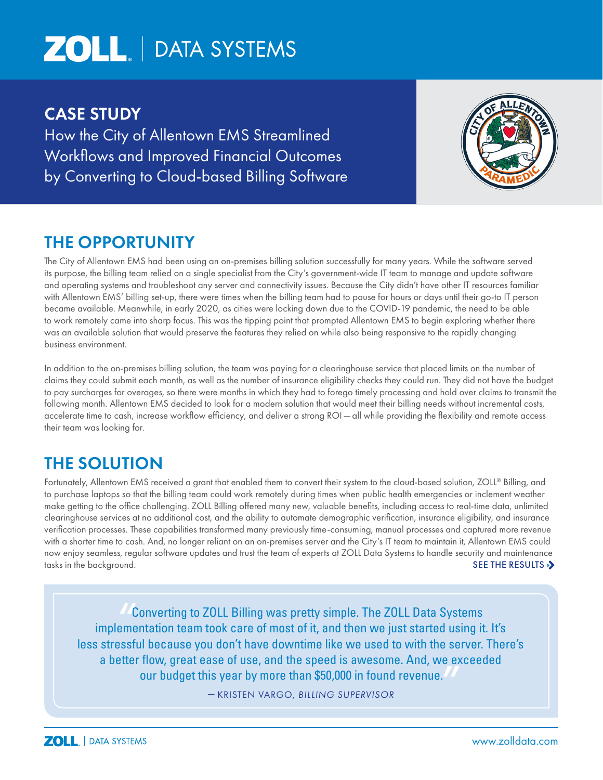# **ZOLL** | DATA SYSTEMS

## CASE STUDY

How the City of Allentown EMS Streamlined Workflows and Improved Financial Outcomes by Converting to Cloud-based Billing Software



# THE OPPORTUNITY

The City of Allentown EMS had been using an on-premises billing solution successfully for many years. While the software served its purpose, the billing team relied on a single specialist from the City's government-wide IT team to manage and update software and operating systems and troubleshoot any server and connectivity issues. Because the City didn't have other IT resources familiar with Allentown EMS' billing set-up, there were times when the billing team had to pause for hours or days until their go-to IT person became available. Meanwhile, in early 2020, as cities were locking down due to the COVID-19 pandemic, the need to be able to work remotely came into sharp focus. This was the tipping point that prompted Allentown EMS to begin exploring whether there was an available solution that would preserve the features they relied on while also being responsive to the rapidly changing business environment.

In addition to the on-premises billing solution, the team was paying for a clearinghouse service that placed limits on the number of claims they could submit each month, as well as the number of insurance eligibility checks they could run. They did not have the budget to pay surcharges for overages, so there were months in which they had to forego timely processing and hold over claims to transmit the following month. Allentown EMS decided to look for a modern solution that would meet their billing needs without incremental costs, accelerate time to cash, increase workflow efficiency, and deliver a strong ROI — all while providing the flexibility and remote access their team was looking for.

# THE SOLUTION

Fortunately, Allentown EMS received a grant that enabled them to convert their system to the cloud-based solution, ZOLL® Billing, and to purchase laptops so that the billing team could work remotely during times when public health emergencies or inclement weather make getting to the office challenging. ZOLL Billing offered many new, valuable benefits, including access to real-time data, unlimited clearinghouse services at no additional cost, and the ability to automate demographic verification, insurance eligibility, and insurance verification processes. These capabilities transformed many previously time-consuming, manual processes and captured more revenue with a shorter time to cash. And, no longer reliant on an on-premises server and the City's IT team to maintain it, Allentown EMS could now enjoy seamless, regular software updates and trust the team of experts at ZOLL Data Systems to handle security and maintenance tasks in the background. The second second second second second second second second second second second second second second second second second second second second second second second second second second second seco

Converting to ZOLL Billing was pretty simple. The ZOLL Data Systems implementation team took care of most of it, and then we just started using it. It's less stressful because you don't have downtime like we used to with the server. There's a better flow, great ease of use, and the speed is awesome. And, we exceeded our budget this year by more than \$50,000 in found revenue. ""<br>""<br>"

— KRISTEN VARGO, *BILLING SUPERVISOR*